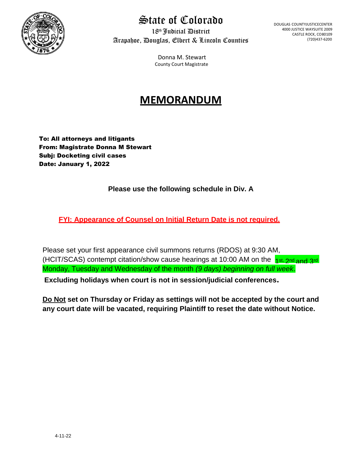

### State of Colorado

18th Judicial District Arapahoe, Douglas, Elbert & Lincoln Counties DOUGLAS COUNTYJUSTICECENTER 4000 JUSTICE WAYSUITE 2009 CASTLE ROCK, CO80109 (720)437-6200

Donna M. Stewart County Court Magistrate

### **MEMORANDUM**

To: All attorneys and litigants From: Magistrate Donna M Stewart Subj: Docketing civil cases Date: January 1, 2022

#### **Please use the following schedule in Div. A**

**FYI: Appearance of Counsel on Initial Return Date is not required.**

(HCIT/SCAS) contempt citation/show cause hearings at 10:00 AM on the 1st, 2nd and 3rd Please set your first appearance civil summons returns (RDOS) at 9:30 AM, Monday, Tuesday and Wednesday of the month *(9 days) beginning on full week*. **Excluding holidays when court is not in session/judicial conferences.** 

**Do Not set on Thursday or Friday as settings will not be accepted by the court and any court date will be vacated, requiring Plaintiff to reset the date without Notice.**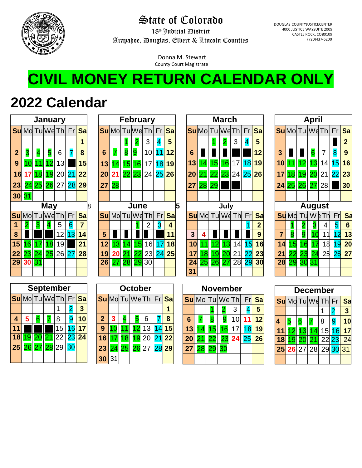

### State of Colorado

18th Judicial District Arapahoe, Douglas, Elbert & Lincoln Counties DOUGLAS COUNTYJUSTICECENTER 4000 JUSTICE WAYSUITE 2009 CASTLE ROCK, CO80109 (720)437-6200

Donna M. Stewart County Court Magistrate

# **CIVIL MONEY RETURN CALENDAR ONLY**

## **2022 Calendar**

|                 |                 |                 |         | January |                 |    |  |  |  |  |  |  |  |  |  |
|-----------------|-----------------|-----------------|---------|---------|-----------------|----|--|--|--|--|--|--|--|--|--|
|                 | Su Mo Tu We Th  |                 |         |         | Fr              | Sa |  |  |  |  |  |  |  |  |  |
|                 |                 |                 |         |         |                 | 1  |  |  |  |  |  |  |  |  |  |
| $\overline{2}$  | 3               | 4               | 5       | 6       | 7               | 8  |  |  |  |  |  |  |  |  |  |
| 9               | $\overline{10}$ |                 | 12      | 13      |                 | 15 |  |  |  |  |  |  |  |  |  |
| 16              | 17              | $\overline{18}$ | 19      | 20      | 21              | 22 |  |  |  |  |  |  |  |  |  |
| 23              | 24              | 25              | 26      | 27      | 28              | 29 |  |  |  |  |  |  |  |  |  |
| 30              | 31              |                 |         |         |                 |    |  |  |  |  |  |  |  |  |  |
|                 | May             |                 |         |         |                 |    |  |  |  |  |  |  |  |  |  |
|                 | <b>Su</b> Mo    |                 | TulWeTh |         | Fr              | Sa |  |  |  |  |  |  |  |  |  |
| 1               | 2               | 3               | 4       | 5       | 6               | 7  |  |  |  |  |  |  |  |  |  |
| 8               |                 |                 |         | 12      | $\overline{13}$ | 14 |  |  |  |  |  |  |  |  |  |
| 15              | 16              | 17              | 18      | 19      |                 | 21 |  |  |  |  |  |  |  |  |  |
| $\overline{22}$ | 23              | 24              | 25      | 26      | 27              | 28 |  |  |  |  |  |  |  |  |  |
| 29              | 30              | 31              |         |         |                 |    |  |  |  |  |  |  |  |  |  |
|                 |                 |                 |         |         |                 |    |  |  |  |  |  |  |  |  |  |

|                  |                 |       | January           |       |    |                         |   |                         |                |    |       | February        |    |           |  | <b>March</b>    |              |      |                 |                |                 |                | <b>April</b>   |              |                 |                 |           |    |                 |
|------------------|-----------------|-------|-------------------|-------|----|-------------------------|---|-------------------------|----------------|----|-------|-----------------|----|-----------|--|-----------------|--------------|------|-----------------|----------------|-----------------|----------------|----------------|--------------|-----------------|-----------------|-----------|----|-----------------|
|                  |                 |       | Su Mo Tu We Th Fr |       |    | Sa                      |   | <b>Su</b> Mo TuWe Th Fr |                |    |       |                 |    | <b>Sa</b> |  | SuMoTuWeTh      |              |      |                 |                |                 | Fr Sa          | SuMoTuWeTh     |              |                 |                 |           | Fr | <b>Sa</b>       |
|                  |                 |       |                   |       |    |                         |   |                         |                |    |       | 3               | 4  | 5         |  |                 |              |      |                 | 3              | 4               | 5              |                |              |                 |                 |           |    | $\overline{2}$  |
| $\overline{2}$   | 3               | 4     | 5                 | 6     | 7  | $\overline{\mathbf{8}}$ |   | 6                       |                | 8  | 9     | 10              | 1  | 12        |  | $6\phantom{1}6$ |              |      |                 |                |                 | 12             | 3 <sup>5</sup> |              |                 | 6               | 7         | 8  | 9               |
| 9                |                 |       | 12                | 13    |    | 15                      |   | 13                      | $\vert$        |    | 15 16 | 17 <sub>l</sub> | 18 | 19        |  | 13              | 14           | 15   | 16 <sup>1</sup> | 17             | 18 <sup>1</sup> | 19             | 10             | 11           | 12 <sub>1</sub> | 13              | 14        | 15 | 16              |
| 16               | 17              | 18    | 19                | 20    | 21 | 22                      |   | 20                      | 2 <sup>1</sup> |    | 22 23 | 24 25 26        |    |           |  | 20              | 21           |      |                 | 22 23 24 25 26 |                 |                | 17             | 18           | 19              | 20              | 21        | 22 | 23              |
| 23               |                 | 24 25 | 26                | 27    | 28 | 29                      |   | 27                      | 28             |    |       |                 |    |           |  | 27              | 28           | 29   |                 |                |                 |                | 24             | 25 26        |                 | 27              | 28        |    | 30              |
| 30               | 31              |       |                   |       |    |                         |   |                         |                |    |       |                 |    |           |  |                 |              |      |                 |                |                 |                |                |              |                 |                 |           |    |                 |
|                  |                 |       | <b>May</b>        |       |    |                         | 8 | June                    |                |    |       |                 |    | 5         |  |                 |              | July |                 |                |                 |                |                |              | <b>August</b>   |                 |           |    |                 |
|                  |                 |       | SuMoTuWeTh        |       | Fr | Sa                      |   | <b>Su</b> Mo Tul We Th  |                |    |       |                 | Fr | Sa        |  |                 | <b>Su</b> Md |      | Tul We          | Th             | Fr              | <b>Sa</b>      |                | <b>Su</b> Md |                 |                 | Tu W b Th | Fr | <b>Sa</b>       |
| 1                |                 | 3     |                   | 5     | 6  | $\overline{7}$          |   |                         |                |    |       | 2               | 3  | 4         |  |                 |              |      |                 |                |                 | $\overline{2}$ |                |              | 2               | 3               | 4         | 5  | $6\phantom{1}6$ |
| $\boldsymbol{8}$ |                 |       |                   | 12    | 13 | 14                      |   | 5                       |                |    |       |                 |    | 11        |  | 3               | 4            |      |                 |                |                 | 9              | $\overline{7}$ | 8            | 9               |                 | 11        | 12 | 13              |
| 15               | 16              |       | 18                | 19    |    | 21                      |   | 12                      |                | 4  | 15    | 16              |    | 18        |  | 10              |              |      | 3               | 14             | 15              | 16             | 14             | 15           | $\overline{6}$  |                 | 18        | 19 | 20              |
| 22               |                 |       | 23 24 25          | 26 27 |    | 28                      |   | 19                      |                | 21 | 22    | 23              |    | 24 25     |  | 17              | 18           | ۱9   | 20              | 21             | $\overline{22}$ | 23             | 21             | 22           | 23              | $\overline{24}$ | 25        | 26 | 27              |
| 29               | 30 <sup>°</sup> | 31    |                   |       |    |                         |   | 26                      | 27             | 28 |       | $29$ 30         |    |           |  | 24              | 25           | 26   | 27              | 28             | 29              | 30             | 28             | 29           | 30              | 31              |           |    |                 |
|                  |                 |       |                   |       |    |                         |   |                         |                |    |       |                 |    |           |  | 31              |              |      |                 |                |                 |                |                |              |                 |                 |           |    |                 |

|                         | September |   |             |             |    |         |  |  |  |  |  |  |  |  |  |
|-------------------------|-----------|---|-------------|-------------|----|---------|--|--|--|--|--|--|--|--|--|
| SuMo Tu We Th Fr Sa     |           |   |             |             |    |         |  |  |  |  |  |  |  |  |  |
|                         |           |   |             |             | 2  | 3       |  |  |  |  |  |  |  |  |  |
| $\overline{\mathbf{A}}$ | 5         | 6 | 7           | 8           | 9  | 10      |  |  |  |  |  |  |  |  |  |
| 11                      |           |   |             | 15          |    | $16$ 17 |  |  |  |  |  |  |  |  |  |
| <b>18</b>               |           |   |             | 19 20 21 22 |    | 23 24   |  |  |  |  |  |  |  |  |  |
| 25                      |           |   | 26 27 28 29 |             | 30 |         |  |  |  |  |  |  |  |  |  |
|                         |           |   |             |             |    |         |  |  |  |  |  |  |  |  |  |

|                     | October |                 |   |             |   |             |  |  |  |  |  |  |  |  |  |
|---------------------|---------|-----------------|---|-------------|---|-------------|--|--|--|--|--|--|--|--|--|
| SuMo Tu We Th Fr Sa |         |                 |   |             |   |             |  |  |  |  |  |  |  |  |  |
|                     |         |                 |   |             |   |             |  |  |  |  |  |  |  |  |  |
| $\overline{2}$      | 3       | 4               | 5 | 6           | 7 | 8           |  |  |  |  |  |  |  |  |  |
| 9                   |         | 11              |   | 12 13       |   | 14 15       |  |  |  |  |  |  |  |  |  |
| 16                  | 17      | $\overline{18}$ |   | 19 20 21 22 |   |             |  |  |  |  |  |  |  |  |  |
| 23                  | 24      | 25              |   |             |   | 26 27 28 29 |  |  |  |  |  |  |  |  |  |
| 30                  | 31      |                 |   |             |   |             |  |  |  |  |  |  |  |  |  |

|                         |                 |                 | March          |    |                 |                |
|-------------------------|-----------------|-----------------|----------------|----|-----------------|----------------|
|                         |                 |                 | SuMoTuWeTh     |    | Fr              | Sa             |
|                         |                 | 1               | 2              | 3  | 4               | 5              |
| 6                       |                 |                 |                |    |                 | 12             |
| 13                      | 14              | 15              | 16             | 17 | 18              | 19             |
| 20                      | $\overline{21}$ | 22              | 23             | 24 | 25 26           |                |
| 27                      | 28 29           |                 |                |    |                 |                |
|                         |                 |                 |                |    |                 |                |
|                         |                 |                 | July           |    |                 |                |
|                         |                 |                 | Su Md Tu Wd Th |    | Fr              | Sa             |
|                         |                 |                 |                |    | 1               | $\overline{2}$ |
| $\overline{\mathbf{3}}$ | 4               |                 |                |    |                 | 9              |
| 10                      | 1               | $\overline{12}$ | 13             | 14 | 15              | 16             |
| 17                      | 18              | 19              | 20             | 21 | $\overline{22}$ | 23             |
| 24                      | 25              | 26              | 27             | 28 | 29              | 30             |
| 31                      |                 |                 |                |    |                 |                |

| <b>November</b> |               |                 |    |    |    |     |  |  |  |  |  |  |
|-----------------|---------------|-----------------|----|----|----|-----|--|--|--|--|--|--|
|                 | SuMo Tu We Th |                 |    |    | Fr | Sal |  |  |  |  |  |  |
|                 |               |                 | 2  | 3  |    | 5   |  |  |  |  |  |  |
| $6\phantom{1}$  |               | 8               | 9  | 10 | 11 | 12  |  |  |  |  |  |  |
| 13              | 14            | $\overline{15}$ | 16 | 17 | 18 | 19  |  |  |  |  |  |  |
| 20              | 21            | 22              | 23 | 24 | 25 | 26  |  |  |  |  |  |  |
| 27              | 28            | 29              | 30 |    |    |     |  |  |  |  |  |  |
|                 |               |                 |    |    |    |     |  |  |  |  |  |  |

|                |              |                | April           |    |    |                |
|----------------|--------------|----------------|-----------------|----|----|----------------|
|                | SuMoTuWeTh   |                |                 |    | Fr | Sa             |
|                |              |                |                 |    |    | $\overline{2}$ |
| $\mathbf{3}$   |              |                | 6               | 7  | 8  | 9              |
| 10             |              | 12             | 13              | 14 | 15 | 16             |
| 17             | 18           | 19             | 20              | 21 | 22 | 23             |
| 24             | 25           | 26             | $\overline{27}$ | 28 |    | 30             |
|                |              |                |                 |    |    |                |
|                |              |                | <b>August</b>   |    |    |                |
|                | <b>Su</b> Mc |                | Tu W  Fr        |    | Fr | Sa             |
|                | 1            | $\overline{c}$ | 3               | 4  | 5  | 6              |
| $\overline{7}$ | 8            | 9              | 10              | 11 | 12 | 13             |
| 14             | 15           | 16             | 17              | 18 | 19 | 20             |
| 21             | 22           | 23             | 24              | 25 | 26 | 27             |
| 28             | 29           | 30             | 31              |    |    |                |
|                |              |                |                 |    |    |                |

| December |                      |   |   |   |           |  |  |  |  |  |  |  |  |  |
|----------|----------------------|---|---|---|-----------|--|--|--|--|--|--|--|--|--|
|          | Su Md Tu Wd Th Fr    |   |   |   | <b>Sa</b> |  |  |  |  |  |  |  |  |  |
|          |                      |   |   | 2 | 3         |  |  |  |  |  |  |  |  |  |
| 5        | 6                    | 7 | 8 | 9 |           |  |  |  |  |  |  |  |  |  |
|          | 11 12 13 14 15 16 17 |   |   |   |           |  |  |  |  |  |  |  |  |  |
|          | 18 19 20 21 22 23 24 |   |   |   |           |  |  |  |  |  |  |  |  |  |
|          | 25 26 27 28 29 30 31 |   |   |   |           |  |  |  |  |  |  |  |  |  |
|          |                      |   |   |   |           |  |  |  |  |  |  |  |  |  |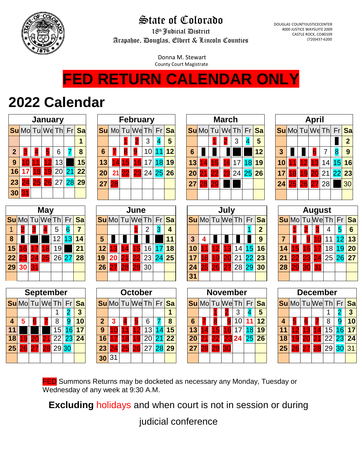

## State of Colorado

18th Judicial District Arapahoe, Douglas, Elbert & Lincoln Counties DOUGLAS COUNTYJUSTICECENTER 4000 JUSTICE WAYSUITE 2009 CASTLE ROCK, CO80109 (720)437-6200

Donna M. Stewart County Court Magistrate

## **FED RETURN CALENDAR ONLY**

## **2022 Calendar**

|                  |                  |    | <b>January</b>   |                 |                 |                         |                   |                |                 |                 | <b>February</b>      |                 |                          |                      |    |                 | <b>March</b> |                 |       |                           | <b>April</b>         |              |                 |                 |                      |                      |                       |  |
|------------------|------------------|----|------------------|-----------------|-----------------|-------------------------|-------------------|----------------|-----------------|-----------------|----------------------|-----------------|--------------------------|----------------------|----|-----------------|--------------|-----------------|-------|---------------------------|----------------------|--------------|-----------------|-----------------|----------------------|----------------------|-----------------------|--|
|                  | SuMo Tu We Th    |    |                  |                 | Fr              | Sa                      |                   |                |                 |                 | Su Mo Tu We Th       | Fr              | Sa                       | <b>Su</b> Mo         |    | Tu              | WeTh         |                 | Fr    | <b>Sa</b>                 |                      |              |                 |                 | SuMo Tu We Th        | Fr                   | Sa                    |  |
|                  |                  |    |                  |                 |                 | 1                       |                   |                |                 |                 | 3                    |                 | 5                        |                      |    |                 |              | 3               |       | 5                         |                      |              |                 |                 |                      |                      | $\mathbf{2}$          |  |
| $\boldsymbol{2}$ |                  | 4  | 5                | 6               | 7               | 8                       | $6\phantom{1}6$   |                |                 |                 | 10                   |                 | 12                       | $6\phantom{1}6$      |    |                 |              |                 |       | 12                        | $\mathbf{3}$         |              |                 | 6               | 7                    | 8                    | 9                     |  |
| 9                |                  |    |                  | 13              |                 | 15                      | 13                | $\overline{4}$ | 15              | 6               | 17                   | 18              | 19                       | 13                   |    | 15              | 16           | 17              | 18    | 19                        | 10                   |              |                 |                 | 14                   | $\overline{5}$       | 16                    |  |
| 16               |                  | 8  | 9                | 20              | 21              | 22                      | 20                | 21             | $\overline{22}$ | 23              | 24                   | 25              | 26                       | 20                   |    | 22              |              | 24              | 25    | 26                        | 17                   | 8            | 9               |                 | 21                   | 22                   | 23                    |  |
| 23               | 24               | 25 |                  | <b>26</b> 27    | 28              | 29                      | 27                | 28             |                 |                 |                      |                 |                          | 27                   | 28 | 29              |              |                 |       |                           | 24                   | 25           | 26              | 2.              | 28                   |                      | 30                    |  |
| 30               | 31               |    |                  |                 |                 |                         |                   |                |                 |                 |                      |                 |                          |                      |    |                 |              |                 |       |                           |                      |              |                 |                 |                      |                      |                       |  |
|                  |                  |    | <b>May</b>       |                 |                 |                         |                   |                |                 | June            |                      |                 |                          |                      |    |                 |              |                 |       |                           |                      |              |                 |                 |                      |                      |                       |  |
|                  |                  |    |                  |                 |                 |                         |                   |                |                 |                 |                      |                 |                          | July<br>SuMoTuWeTh   |    |                 |              |                 |       | <b>August</b><br>Tu We Th |                      |              |                 |                 |                      |                      |                       |  |
|                  | <b>Su</b> Mol    |    | Tu We Th         |                 | Fr              | Sa                      |                   |                |                 | SuMoTuWeTh      |                      | Fr              | Sa                       |                      |    |                 |              |                 | Fr    | Sa                        |                      | <b>Su</b> Mo |                 |                 |                      | Fr                   | <b>Sa</b>             |  |
| 1                |                  |    |                  | 5               | $6\overline{6}$ | $\overline{7}$          |                   |                |                 |                 | 2                    | 3               | 4                        |                      |    |                 |              |                 |       | $\overline{2}$            |                      |              |                 | 3               | 4                    | 5                    | $6\phantom{1}6$       |  |
| 8                |                  |    |                  | 12              | 13              | 14                      | 5                 |                |                 |                 |                      |                 | 11                       | 3                    | 4  |                 |              |                 |       | 9                         | $\overline{7}$       |              |                 |                 | 11                   | 12                   | 13                    |  |
| 15               |                  |    | 8                | 19              |                 | 21                      | 12                |                |                 |                 | 16                   |                 | 18                       | 10                   |    |                 |              | 14              | 15    | 16                        | 14                   |              | $6\phantom{1}6$ |                 | 18                   | 19                   | 20                    |  |
| 22               | 23               | 24 | 25               |                 | 26 27           | 28                      | 19                | 20             |                 |                 | 23                   | 24              | 25                       | 17                   | 8  |                 |              | 21              | 22    | 23                        | 21                   |              | 23              | $\overline{24}$ | 25                   | 26                   | 27                    |  |
| 29               | 30               | 31 |                  |                 |                 |                         | 26                | 27             | 28              | $2\overline{c}$ | 30                   |                 |                          | 24                   | 25 | 26 II           | 27           |                 | 28 29 | 30                        | 28                   | 29           | 30              | 31              |                      |                      |                       |  |
|                  |                  |    |                  |                 |                 |                         |                   |                |                 |                 |                      |                 |                          | 31                   |    |                 |              |                 |       |                           |                      |              |                 |                 |                      |                      |                       |  |
|                  |                  |    | <b>September</b> |                 |                 |                         |                   |                |                 |                 | <b>October</b>       |                 |                          |                      |    | <b>November</b> |              |                 |       |                           |                      |              |                 |                 | <b>December</b>      |                      |                       |  |
|                  |                  |    |                  |                 |                 |                         |                   |                |                 |                 |                      |                 |                          |                      |    |                 |              |                 |       |                           |                      |              |                 |                 |                      |                      |                       |  |
|                  | SuMo Tu We Th Fr |    |                  |                 |                 | Sa                      |                   | <b>Su</b> Mo   |                 |                 | Tu We Th             | Fr              | <b>Sa</b><br>$\mathbf 1$ |                      |    | SuMo Tu We Th   |              |                 | Fr    | <b>Sa</b>                 |                      |              |                 |                 | SuMoTuWeTh           | Fr                   | <b>Sa</b>             |  |
| $\overline{4}$   |                  |    |                  | 1               | 2               | $\overline{\mathbf{3}}$ |                   |                |                 |                 |                      |                 | 8                        |                      |    |                 |              | 3<br>10         |       | 5                         |                      |              |                 |                 | 1                    | 2                    | $\boldsymbol{3}$      |  |
|                  | 5                |    |                  | 8<br>15         | 9<br>16         | 10<br>$\overline{17}$   | $\mathbf{2}$<br>9 | 3              |                 |                 | 6<br>$\overline{13}$ | 14              | 15                       | 6<br>$\overline{13}$ |    | 51              | 6            | $\overline{17}$ | 8     | 12<br>19                  | 4<br>$\overline{11}$ |              |                 |                 | 8<br>$\overline{15}$ | $\overline{9}$<br>16 | 10<br>$\overline{17}$ |  |
| 18               |                  |    |                  | $\overline{22}$ | $\overline{23}$ | $\overline{24}$         | 16                |                | 8               |                 | 20                   | $\overline{21}$ | $\overline{22}$          | $\overline{20}$      |    |                 |              | 24              | 25    | $\overline{26}$           | 18                   |              |                 | 21              | $\overline{22}$      | 23                   | $\overline{24}$       |  |
| 25               | 26               | 27 | 28               |                 | 29 30           |                         | 23                | 24             | 25              | 26              | 27                   | 28              | 29                       | 27                   | 28 | 29              | 30           |                 |       |                           | 25                   | 26           | 27              | 28              | 29                   |                      | 30 31                 |  |
|                  |                  |    |                  |                 |                 |                         |                   |                |                 |                 |                      |                 |                          |                      |    |                 |              |                 |       |                           |                      |              |                 |                 |                      |                      |                       |  |

**FED** Summons Returns may be docketed as necessary any Monday, Tuesday or Wednesday of any week at 9:30 A.M.

**30** 31

**Excluding** holidays and when court is not in session or during

judicial conference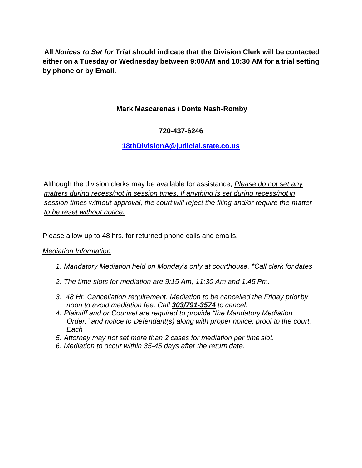**All** *Notices to Set for Trial* **should indicate that the Division Clerk will be contacted either on a Tuesday or Wednesday between 9:00AM and 10:30 AM for a trial setting by phone or by Email.**

#### **Mark Mascarenas / Donte Nash-Romby**

#### **720-437-6246**

#### **[18thDivisionA@judicial.state.co.us](mailto:18thDivisionA@judicial.state.co.us)**

Although the division clerks may be available for assistance, *Please do not set any matters during recess/not in session times*. *If anything is set during recess/not in session times without approval, the court will reject the filing and/or require the matter to be reset without notice.*

Please allow up to 48 hrs. for returned phone calls and emails.

#### *Mediation Information*

- *1. Mandatory Mediation held on Monday's only at courthouse. \*Call clerk for dates*
- *2. The time slots for mediation are 9:15 Am, 11:30 Am and 1:45 Pm.*
- *3. 48 Hr. Cancellation requirement. Mediation to be cancelled the Friday priorby noon to avoid mediation fee. Call 303/791-3574 to cancel.*
- *4. Plaintiff and or Counsel are required to provide "the Mandatory Mediation Order." and notice to Defendant(s) along with proper notice; proof to the court. Each*
- *5. Attorney may not set more than 2 cases for mediation per time slot.*
- *6. Mediation to occur within 35-45 days after the return date.*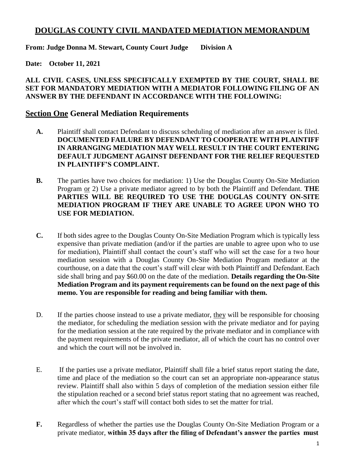#### **DOUGLAS COUNTY CIVIL MANDATED MEDIATION MEMORANDUM**

**From: Judge Donna M. Stewart, County Court Judge Division A** 

**Date: October 11, 2021**

#### **ALL CIVIL CASES, UNLESS SPECIFICALLY EXEMPTED BY THE COURT, SHALL BE SET FOR MANDATORY MEDIATION WITH A MEDIATOR FOLLOWING FILING OF AN ANSWER BY THE DEFENDANT IN ACCORDANCE WITH THE FOLLOWING:**

#### **Section One General Mediation Requirements**

- **A.** Plaintiff shall contact Defendant to discuss scheduling of mediation after an answer is filed. **DOCUMENTED FAILURE BY DEFENDANT TO COOPERATE WITH PLAINTIFF IN ARRANGING MEDIATION MAY WELL RESULT IN THE COURT ENTERING DEFAULT JUDGMENT AGAINST DEFENDANT FOR THE RELIEF REQUESTED IN PLAINTIFF'S COMPLAINT.**
- **B.** The parties have two choices for mediation: 1) Use the Douglas County On-Site Mediation Program or 2) Use a private mediator agreed to by both the Plaintiff and Defendant. **THE PARTIES WILL BE REQUIRED TO USE THE DOUGLAS COUNTY ON-SITE MEDIATION PROGRAM IF THEY ARE UNABLE TO AGREE UPON WHO TO USE FOR MEDIATION.**
- **C.** If both sides agree to the Douglas County On-Site Mediation Program which is typically less expensive than private mediation (and/or if the parties are unable to agree upon who to use for mediation), Plaintiff shall contact the court's staff who will set the case for a two hour mediation session with a Douglas County On-Site Mediation Program mediator at the courthouse, on a date that the court's staff will clear with both Plaintiff and Defendant.Each side shall bring and pay \$60.00 on the date of the mediation. **Details regarding theOn-Site Mediation Program and its payment requirements can be found on the next page of this memo. You are responsible for reading and being familiar with them.**
- D. If the parties choose instead to use a private mediator, they will be responsible for choosing the mediator, for scheduling the mediation session with the private mediator and for paying for the mediation session at the rate required by the private mediator and in compliance with the payment requirements of the private mediator, all of which the court has no control over and which the court will not be involved in.
- E. If the parties use a private mediator, Plaintiff shall file a brief status report stating the date, time and place of the mediation so the court can set an appropriate non-appearance status review. Plaintiff shall also within 5 days of completion of the mediation session either file the stipulation reached or a second brief status report stating that no agreement was reached, after which the court's staff will contact both sides to set the matter for trial.
- **F.** Regardless of whether the parties use the Douglas County On-Site Mediation Program or a private mediator, **within 35 days after the filing of Defendant's answer the parties must**